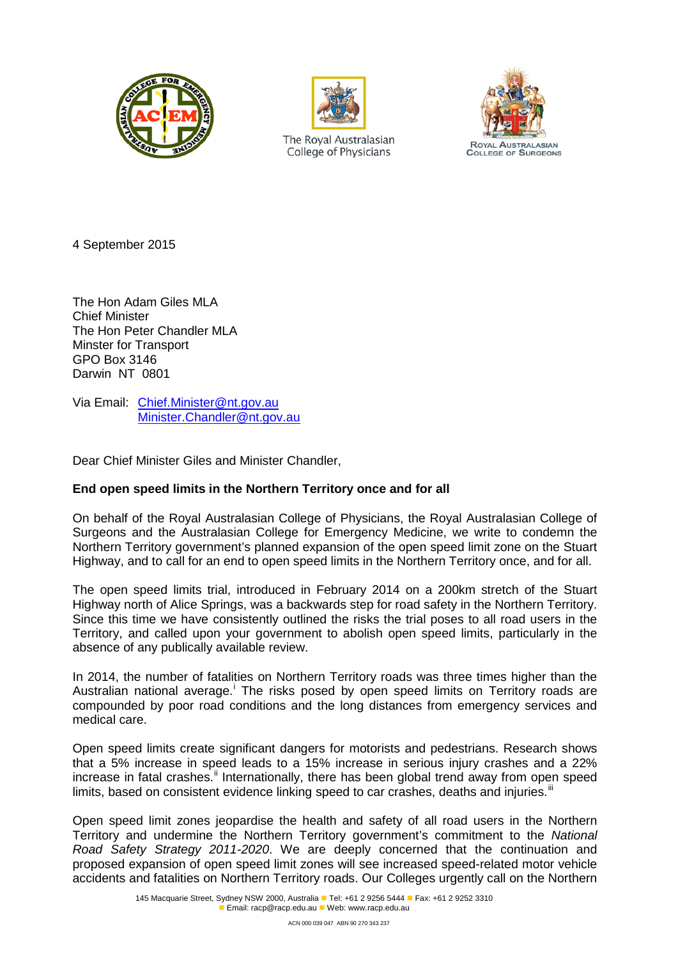





4 September 2015

The Hon Adam Giles MLA Chief Minister The Hon Peter Chandler MLA Minster for Transport GPO Box 3146 Darwin NT 0801

Via Email: [Chief.Minister@nt.gov.au](mailto:Chief.Minister@nt.gov.au) [Minister.Chandler@nt.gov.au](mailto:Minister.Chandler@nt.gov.au)

Dear Chief Minister Giles and Minister Chandler,

## **End open speed limits in the Northern Territory once and for all**

On behalf of the Royal Australasian College of Physicians, the Royal Australasian College of Surgeons and the Australasian College for Emergency Medicine, we write to condemn the Northern Territory government's planned expansion of the open speed limit zone on the Stuart Highway, and to call for an end to open speed limits in the Northern Territory once, and for all.

The open speed limits trial, introduced in February 2014 on a 200km stretch of the Stuart Highway north of Alice Springs, was a backwards step for road safety in the Northern Territory. Since this time we have consistently outlined the risks the trial poses to all road users in the Territory, and called upon your government to abolish open speed limits, particularly in the absence of any publically available review.

In 2014, the number of fatalities on Northern Territory roads was three times higher than the Austral[i](#page-1-0)an national average.<sup>i</sup> The risks posed by open speed limits on Territory roads are compounded by poor road conditions and the long distances from emergency services and medical care.

Open speed limits create significant dangers for motorists and pedestrians. Research shows that a 5% increase in speed leads to a 15% increase in serious injury crashes and a 22% increase in fatal crashes.<sup>[ii](#page-1-1)</sup> Internationally, there has been global trend away from open speed limits, based on consistent evidence linking speed to car crashes, deaths and injuries. $^{\parallel\parallel}$ 

Open speed limit zones jeopardise the health and safety of all road users in the Northern Territory and undermine the Northern Territory government's commitment to the *National Road Safety Strategy 2011-2020*. We are deeply concerned that the continuation and proposed expansion of open speed limit zones will see increased speed-related motor vehicle accidents and fatalities on Northern Territory roads. Our Colleges urgently call on the Northern